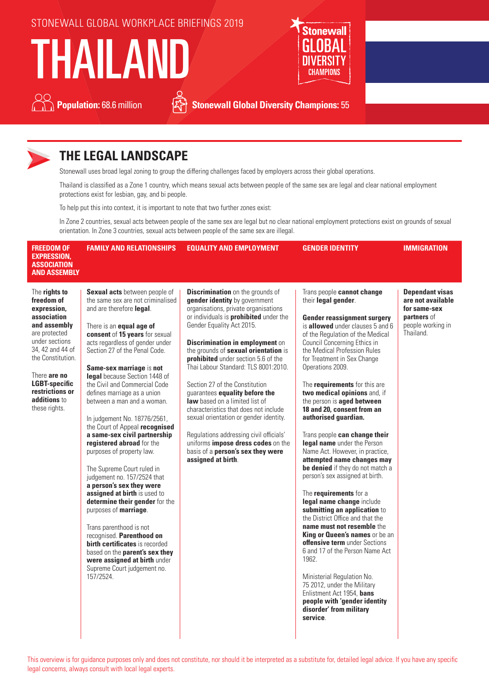## STONEWALL GLOBAL WORKPLACE BRIEFINGS 2019

THAILAND



**Population:** 68.6 million **Section Stonewall Global Diversity Champions:** 55



# **THE LEGAL LANDSCAPE**

Stonewall uses broad legal zoning to group the differing challenges faced by employers across their global operations.

Thailand is classified as a Zone 1 country, which means sexual acts between people of the same sex are legal and clear national employment protections exist for lesbian, gay, and bi people.

To help put this into context, it is important to note that two further zones exist:

In Zone 2 countries, sexual acts between people of the same sex are legal but no clear national employment protections exist on grounds of sexual orientation. In Zone 3 countries, sexual acts between people of the same sex are illegal.

| <b>FREEDOM OF</b><br><b>EXPRESSION,</b><br><b>ASSOCIATION</b><br><b>AND ASSEMBLY</b>                                                                                                                                                              | <b>FAMILY AND RELATIONSHIPS</b>                                                                                                                                                                                                                                                                                                                                                                                                                                                                                                                                                                                                                                                                                                                                                                                                                                                                                                                                           | <b>EQUALITY AND EMPLOYMENT</b>                                                                                                                                                                                                                                                                                                                                                                                                                                                                                                                                                                                                                                                                       | <b>GENDER IDENTITY</b>                                                                                                                                                                                                                                                                                                                                                                                                                                                                                                                                                                                                                                                                                                                                                                                                                                                                                                                                                                                                                                                                                        | <b>IMMIGRATION</b>                                                                                           |
|---------------------------------------------------------------------------------------------------------------------------------------------------------------------------------------------------------------------------------------------------|---------------------------------------------------------------------------------------------------------------------------------------------------------------------------------------------------------------------------------------------------------------------------------------------------------------------------------------------------------------------------------------------------------------------------------------------------------------------------------------------------------------------------------------------------------------------------------------------------------------------------------------------------------------------------------------------------------------------------------------------------------------------------------------------------------------------------------------------------------------------------------------------------------------------------------------------------------------------------|------------------------------------------------------------------------------------------------------------------------------------------------------------------------------------------------------------------------------------------------------------------------------------------------------------------------------------------------------------------------------------------------------------------------------------------------------------------------------------------------------------------------------------------------------------------------------------------------------------------------------------------------------------------------------------------------------|---------------------------------------------------------------------------------------------------------------------------------------------------------------------------------------------------------------------------------------------------------------------------------------------------------------------------------------------------------------------------------------------------------------------------------------------------------------------------------------------------------------------------------------------------------------------------------------------------------------------------------------------------------------------------------------------------------------------------------------------------------------------------------------------------------------------------------------------------------------------------------------------------------------------------------------------------------------------------------------------------------------------------------------------------------------------------------------------------------------|--------------------------------------------------------------------------------------------------------------|
| The rights to<br>freedom of<br>expression,<br>association<br>and assembly<br>are protected<br>under sections<br>34, 42 and 44 of<br>the Constitution.<br>There are no<br><b>LGBT-specific</b><br>restrictions or<br>additions to<br>these rights. | <b>Sexual acts</b> between people of<br>the same sex are not criminalised<br>and are therefore legal.<br>There is an <b>equal age of</b><br>consent of 15 years for sexual<br>acts regardless of gender under<br>Section 27 of the Penal Code.<br>Same-sex marriage is not<br>legal because Section 1448 of<br>the Civil and Commercial Code<br>defines marriage as a union<br>between a man and a woman.<br>In judgement No. 18776/2561,<br>the Court of Appeal recognised<br>a same-sex civil partnership<br>registered abroad for the<br>purposes of property law.<br>The Supreme Court ruled in<br>judgement no. 157/2524 that<br>a person's sex they were<br>assigned at birth is used to<br>determine their gender for the<br>purposes of <b>marriage</b> .<br>Trans parenthood is not<br>recognised. Parenthood on<br>birth certificates is recorded<br>based on the parent's sex they<br>were assigned at birth under<br>Supreme Court judgement no.<br>157/2524. | <b>Discrimination</b> on the grounds of<br>gender identity by government<br>organisations, private organisations<br>or individuals is <b>prohibited</b> under the<br>Gender Equality Act 2015.<br><b>Discrimination in employment on</b><br>the grounds of sexual orientation is<br>prohibited under section 5.6 of the<br>Thai Labour Standard: TLS 8001:2010.<br>Section 27 of the Constitution<br>guarantees equality before the<br>law based on a limited list of<br>characteristics that does not include<br>sexual orientation or gender identity.<br>Regulations addressing civil officials'<br>uniforms impose dress codes on the<br>basis of a person's sex they were<br>assigned at birth. | Trans people cannot change<br>their legal gender.<br><b>Gender reassignment surgery</b><br>is allowed under clauses 5 and 6<br>of the Regulation of the Medical<br>Council Concerning Ethics in<br>the Medical Profession Rules<br>for Treatment in Sex Change<br>Operations 2009.<br>The <i>requirements</i> for this are<br>two medical opinions and, if<br>the person is <b>aged between</b><br>18 and 20, consent from an<br>authorised guardian.<br>Trans people can change their<br>legal name under the Person<br>Name Act. However, in practice,<br>attempted name changes may<br>be denied if they do not match a<br>person's sex assigned at birth.<br>The <i>requirements</i> for a<br>legal name change include<br>submitting an application to<br>the District Office and that the<br>name must not resemble the<br>King or Queen's names or be an<br>offensive term under Sections<br>6 and 17 of the Person Name Act<br>1962.<br>Ministerial Regulation No.<br>75 2012, under the Military<br>Enlistment Act 1954, bans<br>people with 'gender identity<br>disorder' from military<br>service. | <b>Dependant visas</b><br>are not available<br>for same-sex<br>partners of<br>people working in<br>Thailand. |

This overview is for guidance purposes only and does not constitute, nor should it be interpreted as a substitute for, detailed legal advice. If you have any specific legal concerns, always consult with local legal experts.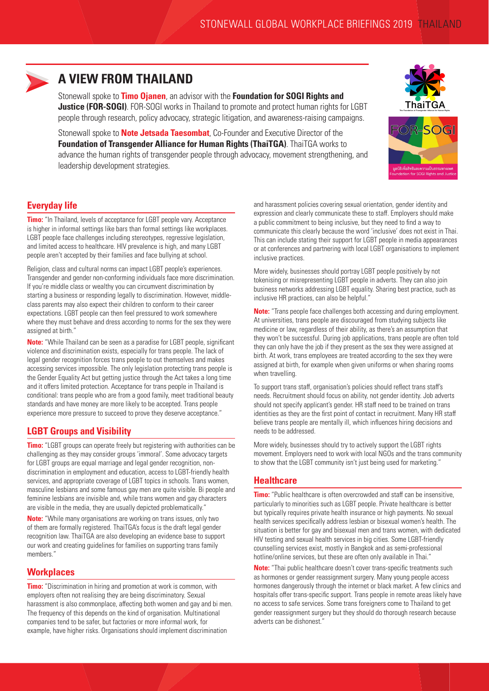

## **A VIEW FROM THAILAND**

Stonewall spoke to **Timo Ojanen**, an advisor with the **Foundation for SOGI Rights and Justice (FOR-SOGI)**. FOR-SOGI works in Thailand to promote and protect human rights for LGBT people through research, policy advocacy, strategic litigation, and awareness-raising campaigns.

Stonewall spoke to **Note Jetsada Taesombat**, Co-Founder and Executive Director of the **Foundation of Transgender Alliance for Human Rights (ThaiTGA)**. ThaiTGA works to advance the human rights of transgender people through advocacy, movement strengthening, and leadership development strategies.



### **Everyday life**

**Timo:** "In Thailand, levels of acceptance for LGBT people vary. Acceptance is higher in informal settings like bars than formal settings like workplaces. LGBT people face challenges including stereotypes, regressive legislation, and limited access to healthcare. HIV prevalence is high, and many LGBT people aren't accepted by their families and face bullying at school.

Religion, class and cultural norms can impact LGBT people's experiences. Transgender and gender non-conforming individuals face more discrimination. If you're middle class or wealthy you can circumvent discrimination by starting a business or responding legally to discrimination. However, middleclass parents may also expect their children to conform to their career expectations. LGBT people can then feel pressured to work somewhere where they must behave and dress according to norms for the sex they were assigned at birth."

**Note:** "While Thailand can be seen as a paradise for LGBT people, significant violence and discrimination exists, especially for trans people. The lack of legal gender recognition forces trans people to out themselves and makes accessing services impossible. The only legislation protecting trans people is the Gender Equality Act but getting justice through the Act takes a long time and it offers limited protection. Acceptance for trans people in Thailand is conditional: trans people who are from a good family, meet traditional beauty standards and have money are more likely to be accepted. Trans people experience more pressure to succeed to prove they deserve acceptance."

#### **LGBT Groups and Visibility**

**Timo:** "LGBT groups can operate freely but registering with authorities can be challenging as they may consider groups 'immoral'. Some advocacy targets for LGBT groups are equal marriage and legal gender recognition, nondiscrimination in employment and education, access to LGBT-friendly health services, and appropriate coverage of LGBT topics in schools. Trans women, masculine lesbians and some famous gay men are quite visible. Bi people and feminine lesbians are invisible and, while trans women and gay characters are visible in the media, they are usually depicted problematically."

**Note:** "While many organisations are working on trans issues, only two of them are formally registered. ThaiTGA's focus is the draft legal gender recognition law. ThaiTGA are also developing an evidence base to support our work and creating guidelines for families on supporting trans family members."

#### **Workplaces**

**Timo:** "Discrimination in hiring and promotion at work is common, with employers often not realising they are being discriminatory. Sexual harassment is also commonplace, affecting both women and gay and bi men. The frequency of this depends on the kind of organisation. Multinational companies tend to be safer, but factories or more informal work, for example, have higher risks. Organisations should implement discrimination

and harassment policies covering sexual orientation, gender identity and expression and clearly communicate these to staff. Employers should make a public commitment to being inclusive, but they need to find a way to communicate this clearly because the word 'inclusive' does not exist in Thai. This can include stating their support for LGBT people in media appearances or at conferences and partnering with local LGBT organisations to implement inclusive practices.

More widely, businesses should portray LGBT people positively by not tokenising or misrepresenting LGBT people in adverts. They can also join business networks addressing LGBT equality. Sharing best practice, such as inclusive HR practices, can also be helpful."

**Note:** "Trans people face challenges both accessing and during employment. At universities, trans people are discouraged from studying subjects like medicine or law, regardless of their ability, as there's an assumption that they won't be successful. During job applications, trans people are often told they can only have the job if they present as the sex they were assigned at birth. At work, trans employees are treated according to the sex they were assigned at birth, for example when given uniforms or when sharing rooms when travelling.

To support trans staff, organisation's policies should reflect trans staff's needs. Recruitment should focus on ability, not gender identity. Job adverts should not specify applicant's gender. HR staff need to be trained on trans identities as they are the first point of contact in recruitment. Many HR staff believe trans people are mentally ill, which influences hiring decisions and needs to be addressed.

More widely, businesses should try to actively support the LGBT rights movement. Employers need to work with local NGOs and the trans community to show that the LGBT community isn't just being used for marketing."

#### **Healthcare**

**Timo:** "Public healthcare is often overcrowded and staff can be insensitive, particularly to minorities such as LGBT people. Private healthcare is better but typically requires private health insurance or high payments. No sexual health services specifically address lesbian or bisexual women's health. The situation is better for gay and bisexual men and trans women, with dedicated HIV testing and sexual health services in big cities. Some LGBT-friendly counselling services exist, mostly in Bangkok and as semi-professional hotline/online services, but these are often only available in Thai."

**Note:** "Thai public healthcare doesn't cover trans-specific treatments such as hormones or gender reassignment surgery. Many young people access hormones dangerously through the internet or black market. A few clinics and hospitals offer trans-specific support. Trans people in remote areas likely have no access to safe services. Some trans foreigners come to Thailand to get gender reassignment surgery but they should do thorough research because adverts can be dishonest."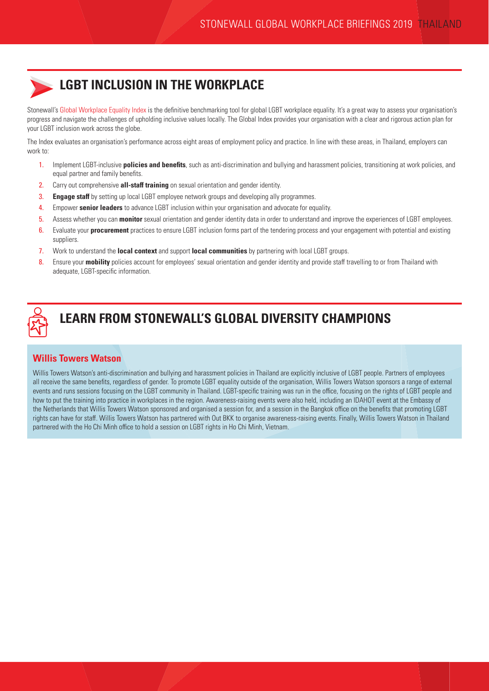

## **LGBT INCLUSION IN THE WORKPLACE**

Stonewall's [Global Workplace Equality Index](https://www.stonewall.org.uk/node/126346) is the definitive benchmarking tool for global LGBT workplace equality. It's a great way to assess your organisation's progress and navigate the challenges of upholding inclusive values locally. The Global Index provides your organisation with a clear and rigorous action plan for your LGBT inclusion work across the globe.

The Index evaluates an organisation's performance across eight areas of employment policy and practice. In line with these areas, in Thailand, employers can work to:

- 1. Implement LGBT-inclusive **policies and benefits**, such as anti-discrimination and bullying and harassment policies, transitioning at work policies, and equal partner and family benefits.
- 2. Carry out comprehensive **all-staff training** on sexual orientation and gender identity.
- 3. **Engage staff** by setting up local LGBT employee network groups and developing ally programmes.
- 4. Empower **senior leaders** to advance LGBT inclusion within your organisation and advocate for equality.
- 5. Assess whether you can **monitor** sexual orientation and gender identity data in order to understand and improve the experiences of LGBT employees.
- 6. Evaluate your **procurement** practices to ensure LGBT inclusion forms part of the tendering process and your engagement with potential and existing suppliers.
- 7. Work to understand the **local context** and support **local communities** by partnering with local LGBT groups.
- 8. Ensure your **mobility** policies account for employees' sexual orientation and gender identity and provide staff travelling to or from Thailand with adequate, LGBT-specific information.



## **LEARN FROM STONEWALL'S GLOBAL DIVERSITY CHAMPIONS**

## **Willis Towers Watson**

Willis Towers Watson's anti-discrimination and bullying and harassment policies in Thailand are explicitly inclusive of LGBT people. Partners of employees all receive the same benefits, regardless of gender. To promote LGBT equality outside of the organisation, Willis Towers Watson sponsors a range of external events and runs sessions focusing on the LGBT community in Thailand. LGBT-specific training was run in the office, focusing on the rights of LGBT people and how to put the training into practice in workplaces in the region. Awareness-raising events were also held, including an IDAHOT event at the Embassy of the Netherlands that Willis Towers Watson sponsored and organised a session for, and a session in the Bangkok office on the benefits that promoting LGBT rights can have for staff. Willis Towers Watson has partnered with Out BKK to organise awareness-raising events. Finally, Willis Towers Watson in Thailand partnered with the Ho Chi Minh office to hold a session on LGBT rights in Ho Chi Minh, Vietnam.